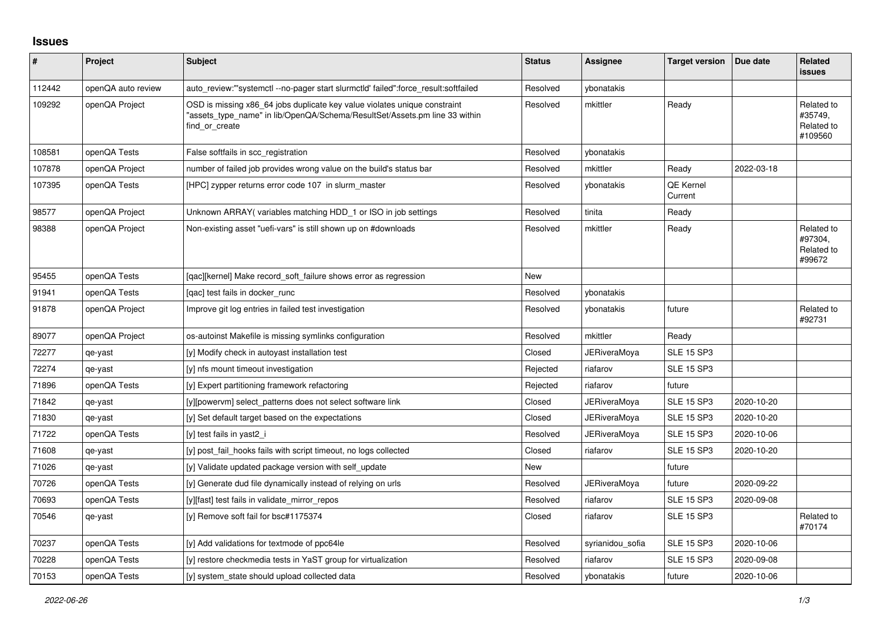## **Issues**

| #      | Project            | <b>Subject</b>                                                                                                                                                            | <b>Status</b> | Assignee            | <b>Target version</b>       | Due date   | <b>Related</b><br><b>issues</b>                |
|--------|--------------------|---------------------------------------------------------------------------------------------------------------------------------------------------------------------------|---------------|---------------------|-----------------------------|------------|------------------------------------------------|
| 112442 | openQA auto review | auto_review:"'systemctl --no-pager start slurmctld' failed":force_result:softfailed                                                                                       | Resolved      | ybonatakis          |                             |            |                                                |
| 109292 | openQA Project     | OSD is missing x86 64 jobs duplicate key value violates unique constraint<br>'assets type name" in lib/OpenQA/Schema/ResultSet/Assets.pm line 33 within<br>find or create | Resolved      | mkittler            | Ready                       |            | Related to<br>#35749,<br>Related to<br>#109560 |
| 108581 | openQA Tests       | False softfails in scc_registration                                                                                                                                       | Resolved      | ybonatakis          |                             |            |                                                |
| 107878 | openQA Project     | number of failed job provides wrong value on the build's status bar                                                                                                       | Resolved      | mkittler            | Ready                       | 2022-03-18 |                                                |
| 107395 | openQA Tests       | [HPC] zypper returns error code 107 in slurm master                                                                                                                       | Resolved      | ybonatakis          | <b>QE Kernel</b><br>Current |            |                                                |
| 98577  | openQA Project     | Unknown ARRAY (variables matching HDD 1 or ISO in job settings                                                                                                            | Resolved      | tinita              | Ready                       |            |                                                |
| 98388  | openQA Project     | Non-existing asset "uefi-vars" is still shown up on #downloads                                                                                                            | Resolved      | mkittler            | Ready                       |            | Related to<br>#97304,<br>Related to<br>#99672  |
| 95455  | openQA Tests       | [gac][kernel] Make record soft failure shows error as regression                                                                                                          | <b>New</b>    |                     |                             |            |                                                |
| 91941  | openQA Tests       | [qac] test fails in docker_runc                                                                                                                                           | Resolved      | ybonatakis          |                             |            |                                                |
| 91878  | openQA Project     | Improve git log entries in failed test investigation                                                                                                                      | Resolved      | ybonatakis          | future                      |            | Related to<br>#92731                           |
| 89077  | openQA Project     | os-autoinst Makefile is missing symlinks configuration                                                                                                                    | Resolved      | mkittler            | Ready                       |            |                                                |
| 72277  | qe-yast            | [y] Modify check in autoyast installation test                                                                                                                            | Closed        | <b>JERiveraMoya</b> | <b>SLE 15 SP3</b>           |            |                                                |
| 72274  | qe-yast            | [y] nfs mount timeout investigation                                                                                                                                       | Rejected      | riafarov            | <b>SLE 15 SP3</b>           |            |                                                |
| 71896  | openQA Tests       | [y] Expert partitioning framework refactoring                                                                                                                             | Rejected      | riafarov            | future                      |            |                                                |
| 71842  | qe-yast            | [y][powervm] select patterns does not select software link                                                                                                                | Closed        | <b>JERiveraMoya</b> | <b>SLE 15 SP3</b>           | 2020-10-20 |                                                |
| 71830  | qe-yast            | [y] Set default target based on the expectations                                                                                                                          | Closed        | <b>JERiveraMoya</b> | <b>SLE 15 SP3</b>           | 2020-10-20 |                                                |
| 71722  | openQA Tests       | [y] test fails in yast2 i                                                                                                                                                 | Resolved      | JERiveraMoya        | <b>SLE 15 SP3</b>           | 2020-10-06 |                                                |
| 71608  | qe-yast            | [y] post fail hooks fails with script timeout, no logs collected                                                                                                          | Closed        | riafarov            | <b>SLE 15 SP3</b>           | 2020-10-20 |                                                |
| 71026  | qe-yast            | [y] Validate updated package version with self_update                                                                                                                     | New           |                     | future                      |            |                                                |
| 70726  | openQA Tests       | [y] Generate dud file dynamically instead of relying on urls                                                                                                              | Resolved      | JERiveraMoya        | future                      | 2020-09-22 |                                                |
| 70693  | openQA Tests       | [y][fast] test fails in validate mirror repos                                                                                                                             | Resolved      | riafarov            | <b>SLE 15 SP3</b>           | 2020-09-08 |                                                |
| 70546  | qe-yast            | [y] Remove soft fail for bsc#1175374                                                                                                                                      | Closed        | riafarov            | <b>SLE 15 SP3</b>           |            | Related to<br>#70174                           |
| 70237  | openQA Tests       | [y] Add validations for textmode of ppc64le                                                                                                                               | Resolved      | syrianidou_sofia    | <b>SLE 15 SP3</b>           | 2020-10-06 |                                                |
| 70228  | openQA Tests       | [y] restore checkmedia tests in YaST group for virtualization                                                                                                             | Resolved      | riafarov            | <b>SLE 15 SP3</b>           | 2020-09-08 |                                                |
| 70153  | openQA Tests       | [y] system_state should upload collected data                                                                                                                             | Resolved      | ybonatakis          | future                      | 2020-10-06 |                                                |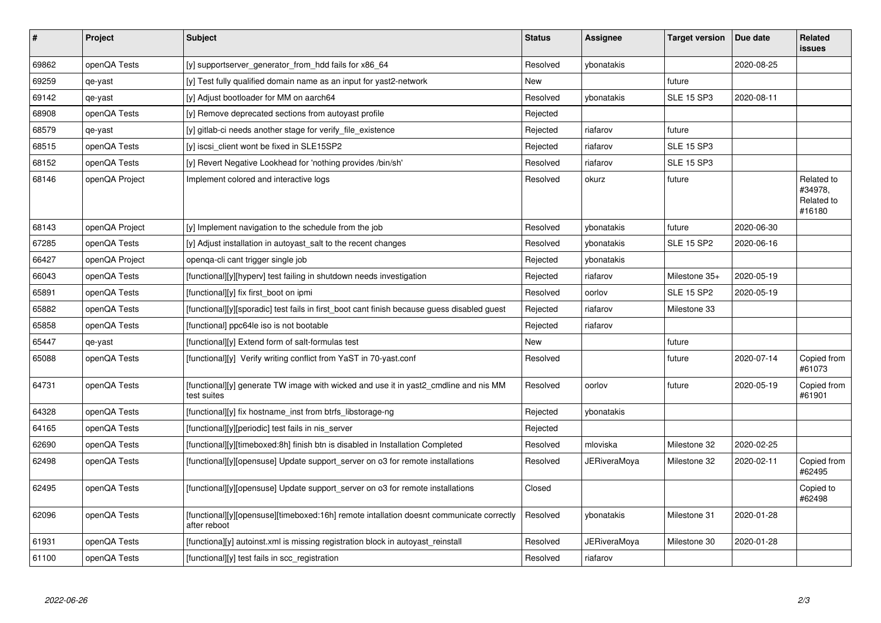| $\vert$ # | <b>Project</b> | <b>Subject</b>                                                                                           | <b>Status</b> | <b>Assignee</b> | <b>Target version</b> | Due date   | Related<br><b>issues</b>                      |
|-----------|----------------|----------------------------------------------------------------------------------------------------------|---------------|-----------------|-----------------------|------------|-----------------------------------------------|
| 69862     | openQA Tests   | [y] supportserver_generator_from_hdd fails for x86_64                                                    | Resolved      | ybonatakis      |                       | 2020-08-25 |                                               |
| 69259     | qe-yast        | [y] Test fully qualified domain name as an input for yast2-network                                       | New           |                 | future                |            |                                               |
| 69142     | qe-yast        | [y] Adjust bootloader for MM on aarch64                                                                  | Resolved      | ybonatakis      | <b>SLE 15 SP3</b>     | 2020-08-11 |                                               |
| 68908     | openQA Tests   | [y] Remove deprecated sections from autoyast profile                                                     | Rejected      |                 |                       |            |                                               |
| 68579     | qe-yast        | [y] gitlab-ci needs another stage for verify file existence                                              | Rejected      | riafarov        | future                |            |                                               |
| 68515     | openQA Tests   | [y] iscsi_client wont be fixed in SLE15SP2                                                               | Rejected      | riafarov        | <b>SLE 15 SP3</b>     |            |                                               |
| 68152     | openQA Tests   | [y] Revert Negative Lookhead for 'nothing provides /bin/sh'                                              | Resolved      | riafarov        | <b>SLE 15 SP3</b>     |            |                                               |
| 68146     | openQA Project | Implement colored and interactive logs                                                                   | Resolved      | okurz           | future                |            | Related to<br>#34978,<br>Related to<br>#16180 |
| 68143     | openQA Project | [y] Implement navigation to the schedule from the job                                                    | Resolved      | vbonatakis      | future                | 2020-06-30 |                                               |
| 67285     | openQA Tests   | [y] Adjust installation in autoyast_salt to the recent changes                                           | Resolved      | vbonatakis      | <b>SLE 15 SP2</b>     | 2020-06-16 |                                               |
| 66427     | openQA Project | openga-cli cant trigger single job                                                                       | Rejected      | ybonatakis      |                       |            |                                               |
| 66043     | openQA Tests   | [functional][y][hyperv] test failing in shutdown needs investigation                                     | Rejected      | riafarov        | Milestone 35+         | 2020-05-19 |                                               |
| 65891     | openQA Tests   | [functional][y] fix first_boot on ipmi                                                                   | Resolved      | oorlov          | <b>SLE 15 SP2</b>     | 2020-05-19 |                                               |
| 65882     | openQA Tests   | [functional][y][sporadic] test fails in first_boot cant finish because guess disabled guest              | Rejected      | riafarov        | Milestone 33          |            |                                               |
| 65858     | openQA Tests   | [functional] ppc64le iso is not bootable                                                                 | Rejected      | riafarov        |                       |            |                                               |
| 65447     | qe-yast        | [functional][y] Extend form of salt-formulas test                                                        | New           |                 | future                |            |                                               |
| 65088     | openQA Tests   | [functional][y] Verify writing conflict from YaST in 70-yast.conf                                        | Resolved      |                 | future                | 2020-07-14 | Copied from<br>#61073                         |
| 64731     | openQA Tests   | [functional][y] generate TW image with wicked and use it in yast2 cmdline and nis MM<br>test suites      | Resolved      | oorlov          | future                | 2020-05-19 | Copied from<br>#61901                         |
| 64328     | openQA Tests   | [functional][y] fix hostname_inst from btrfs_libstorage-ng                                               | Rejected      | ybonatakis      |                       |            |                                               |
| 64165     | openQA Tests   | [functional][y][periodic] test fails in nis server                                                       | Rejected      |                 |                       |            |                                               |
| 62690     | openQA Tests   | [functional][y][timeboxed:8h] finish btn is disabled in Installation Completed                           | Resolved      | mloviska        | Milestone 32          | 2020-02-25 |                                               |
| 62498     | openQA Tests   | [functional][y][opensuse] Update support_server on o3 for remote installations                           | Resolved      | JERiveraMoya    | Milestone 32          | 2020-02-11 | Copied from<br>#62495                         |
| 62495     | openQA Tests   | [functional][y][opensuse] Update support_server on o3 for remote installations                           | Closed        |                 |                       |            | Copied to<br>#62498                           |
| 62096     | openQA Tests   | [functional][y][opensuse][timeboxed:16h] remote intallation doesnt communicate correctly<br>after reboot | Resolved      | vbonatakis      | Milestone 31          | 2020-01-28 |                                               |
| 61931     | openQA Tests   | [functiona][y] autoinst.xml is missing registration block in autoyast reinstall                          | Resolved      | JERiveraMoya    | Milestone 30          | 2020-01-28 |                                               |
| 61100     | openQA Tests   | [functional][y] test fails in scc_registration                                                           | Resolved      | riafarov        |                       |            |                                               |